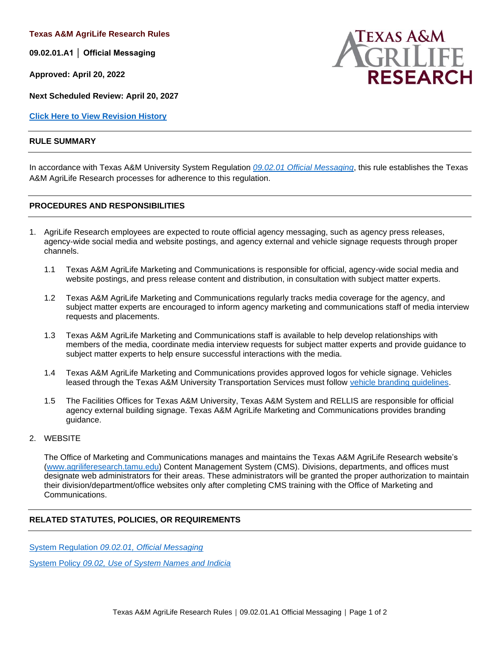**Texas A&M AgriLife Research Rules**

**09.02.01.A1 │ Official Messaging**

**Approved: April 20, 2022**

**Next Scheduled Review: April 20, 2027**

**[Click Here to View Revision History](#page-1-0)**

#### **RULE SUMMARY**

In accordance with Texas A&M University System Regulation *[09.02.01 Official Messaging](http://policies.tamus.edu/09-02-01.pdf)*, this rule establishes the Texas A&M AgriLife Research processes for adherence to this regulation.

#### **PROCEDURES AND RESPONSIBILITIES**

- 1. AgriLife Research employees are expected to route official agency messaging, such as agency press releases, agency-wide social media and website postings, and agency external and vehicle signage requests through proper channels.
	- 1.1 Texas A&M AgriLife Marketing and Communications is responsible for official, agency-wide social media and website postings, and press release content and distribution, in consultation with subject matter experts.
	- 1.2 Texas A&M AgriLife Marketing and Communications regularly tracks media coverage for the agency, and subject matter experts are encouraged to inform agency marketing and communications staff of media interview requests and placements.
	- 1.3 Texas A&M AgriLife Marketing and Communications staff is available to help develop relationships with members of the media, coordinate media interview requests for subject matter experts and provide guidance to subject matter experts to help ensure successful interactions with the media.
	- 1.4 Texas A&M AgriLife Marketing and Communications provides approved logos for vehicle signage. Vehicles leased through the Texas A&M University Transportation Services must follow [vehicle branding guidelines.](https://transport.tamu.edu/Fleet/branding.aspx)
	- 1.5 The Facilities Offices for Texas A&M University, Texas A&M System and RELLIS are responsible for official agency external building signage. Texas A&M AgriLife Marketing and Communications provides branding guidance.
- 2. WEBSITE

The Office of Marketing and Communications manages and maintains the Texas A&M AgriLife Research website's [\(www.agriliferesearch.tamu.edu\)](https://agriliferesearch.tamu.edu/) Content Management System (CMS). Divisions, departments, and offices must designate web administrators for their areas. These administrators will be granted the proper authorization to maintain their division/department/office websites only after completing CMS training with the Office of Marketing and Communications.

### **RELATED STATUTES, POLICIES, OR REQUIREMENTS**

System Regulation *[09.02.01, Official Messaging](http://policies.tamus.edu/09-02-01.pdf)*

System Policy *09.02, [Use of System Names and Indicia](http://policies.tamus.edu/09-02.pdf)*